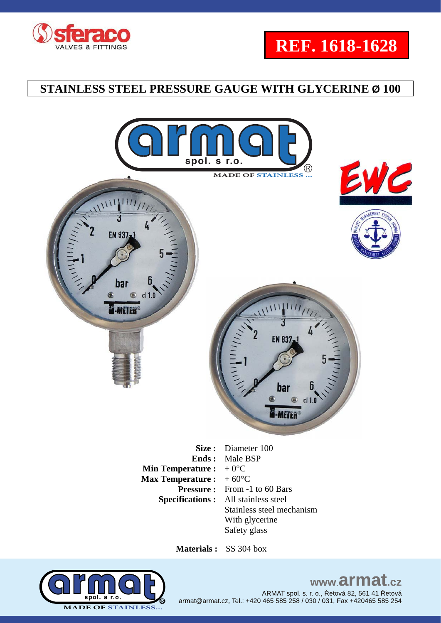





 **Materials :** SS 304 box

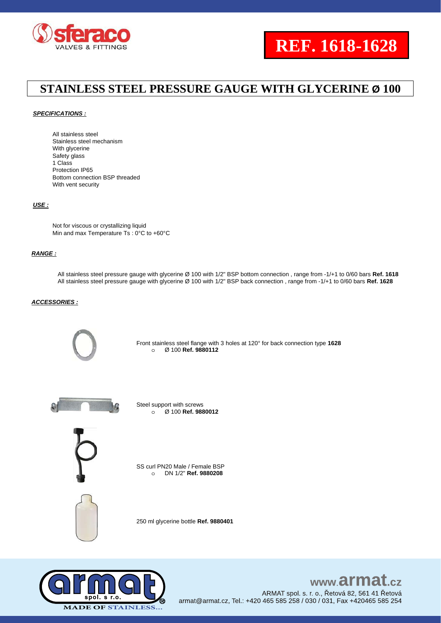

#### *SPECIFICATIONS :*

All stainless steel Stainless steel mechanism With glycerine Safety glass 1 Class Protection IP65 Bottom connection BSP threaded With vent security

#### *USE :*

Not for viscous or crystallizing liquid Min and max Temperature Ts : 0°C to +60°C

#### *RANGE :*

All stainless steel pressure gauge with glycerine Ø 100 with 1/2" BSP bottom connection , range from -1/+1 to 0/60 bars **Ref. 1618** All stainless steel pressure gauge with glycerine Ø 100 with 1/2" BSP back connection , range from -1/+1 to 0/60 bars **Ref. 1628**

### *ACCESSORIES :*



Front stainless steel flange with 3 holes at 120° for back connection type **1628** o Ø 100 **Ref. 9880112**



Steel support with screws o Ø 100 **Ref. 9880012**



SS curl PN20 Male / Female BSP o DN 1/2" **Ref. 9880208**



250 ml glycerine bottle **Ref. 9880401**



### www.armat  $c\overline{z}$

ARMAT spol. s. r. o., Řetová 82, 561 41 Řetová armat@armat.cz, Tel.: +420 465 585 258 / 030 / 031, Fax +420465 585 254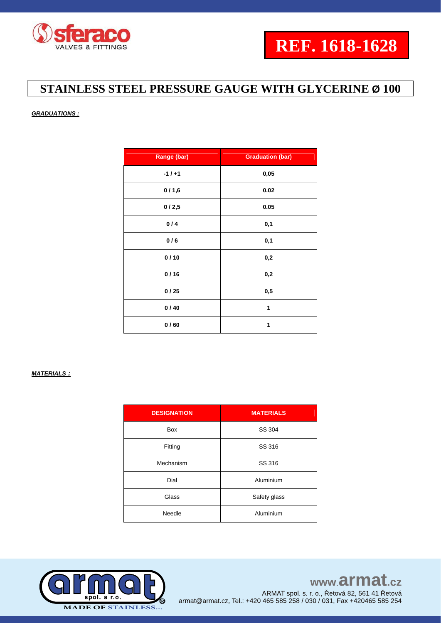

### *GRADUATIONS :*

| Range (bar) | <b>Graduation (bar)</b> |
|-------------|-------------------------|
| $-1/+1$     | 0,05                    |
| 0/1,6       | 0.02                    |
| 0/2,5       | 0.05                    |
| 0/4         | 0,1                     |
| 0/6         | 0,1                     |
| 0/10        | 0,2                     |
| 0/16        | 0,2                     |
| 0/25        | 0,5                     |
| 0/40        | 1                       |
| 0/60        | 1                       |

### *MATERIALS :*

| <b>DESIGNATION</b> | <b>MATERIALS</b> |
|--------------------|------------------|
| <b>Box</b>         | SS 304           |
| Fitting            | SS 316           |
| Mechanism          | SS 316           |
| Dial               | Aluminium        |
| Glass              | Safety glass     |
| Needle             | Aluminium        |

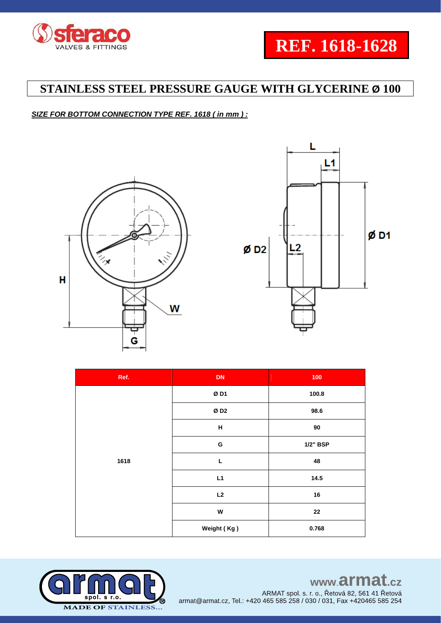

### *SIZE FOR BOTTOM CONNECTION TYPE REF. 1618 ( in mm ) :*





| Ref. | DN          | 100             |
|------|-------------|-----------------|
| 1618 | ØD1         | 100.8           |
|      | ØD2         | 98.6            |
|      | Н           | 90              |
|      | G           | <b>1/2" BSP</b> |
|      | L           | 48              |
|      | L1          | 14.5            |
|      | L2          | 16              |
|      | W           | 22              |
|      | Weight (Kg) | 0.768           |

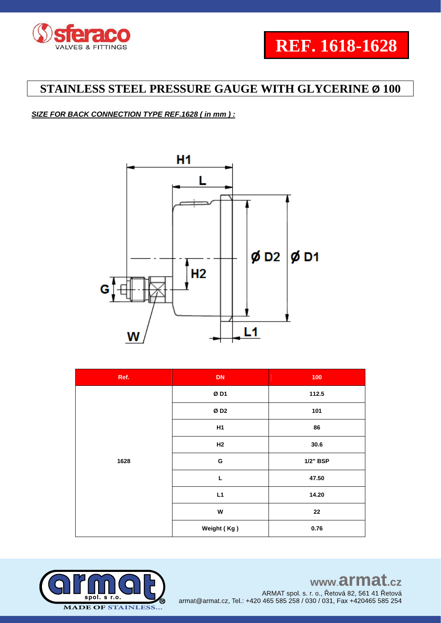

### *SIZE FOR BACK CONNECTION TYPE REF.1628 ( in mm ) :*



| Ref. | <b>DN</b>   | 100      |
|------|-------------|----------|
| 1628 | ØD1         | 112.5    |
|      | ØD2         | 101      |
|      | H1          | 86       |
|      | H2          | 30.6     |
|      | G           | 1/2" BSP |
|      | L           | 47.50    |
|      | L1          | 14.20    |
|      | W           | 22       |
|      | Weight (Kg) | 0.76     |